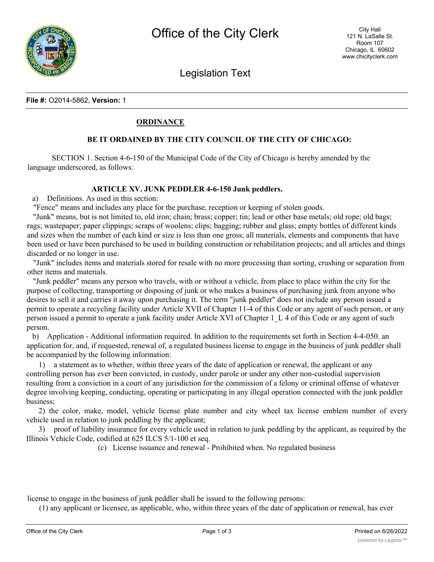

Legislation Text

### **File #:** O2014-5862, **Version:** 1

# **ORDINANCE**

# **BE IT ORDAINED BY THE CITY COUNCIL OF THE CITY OF CHICAGO:**

SECTION 1. Section 4-6-150 of the Municipal Code of the City of Chicago is hereby amended by the language underscored, as follows:

#### **ARTICLE XV. JUNK PEDDLER 4-6-150 Junk peddlers.**

a) Definitions. As used in this section:

"Fence" means and includes any place for the purchase, reception or keeping of stolen goods.

"Junk" means, but is not limited to, old iron; chain; brass; copper; tin; lead or other base metals; old rope; old bags; rags; wastepaper; paper clippings; scraps of woolens; clips; bagging; rubber and glass; empty bottles of different kinds and sizes when the number of each kind or size is less than one gross; all materials, elements and components that have been used or have been purchased to be used in building construction or rehabilitation projects; and all articles and things discarded or no longer in use.

"Junk" includes items and materials stored for resale with no more processing than sorting, crushing or separation from other items and materials.

"Junk peddler" means any person who travels, with or without a vehicle, from place to place within the city for the purpose of collecting, transporting or disposing of junk or who makes a business of purchasing junk from anyone who desires to sell it and carries it away upon purchasing it. The term "junk peddler" does not include any person issued a permit to operate a recycling facility under Article XVII of Chapter 11-4 of this Code or any agent of such person, or any person issued a permit to operate a junk facility under Article XVI of Chapter 1\_L 4 of this Code or any agent of such person.

b) Application - Additional information required. In addition to the requirements set forth in Section 4-4-050. an application for, and, if requested, renewal of, a regulated business license to engage in the business of junk peddler shall be accompanied by the following information:

1) a statement as to whether, within three years of the date of application or renewal, the applicant or any controlling person has ever been convicted, in custody, under parole or under any other non-custodial supervision resulting from a conviction in a court of any jurisdiction for the commission of a felony or criminal offense of whatever degree involving keeping, conducting, operating or participating in any illegal operation connected with the junk peddler business;

2) the color, make, model, vehicle license plate number and city wheel tax license emblem number of every vehicle used in relation to junk peddling by the applicant;

3) proof of liability insurance for every vehicle used in relation to junk peddling by the applicant, as required by the Illinois Vehicle Code, codified at 625 ILCS 5/1-100 et seq.

(c) License issuance and renewal - Prohibited when. No regulated business

license to engage in the business of junk peddler shall be issued to the following persons:

(1) any applicant or licensee, as applicable, who, within three years of the date of application or renewal, has ever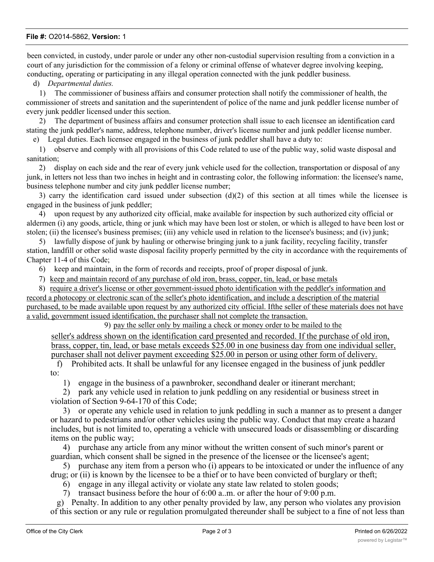### **File #:** O2014-5862, **Version:** 1

been convicted, in custody, under parole or under any other non-custodial supervision resulting from a conviction in a court of any jurisdiction for the commission of a felony or criminal offense of whatever degree involving keeping, conducting, operating or participating in any illegal operation connected with the junk peddler business.

d) *Departmental duties.*

1) The commissioner of business affairs and consumer protection shall notify the commissioner of health, the commissioner of streets and sanitation and the superintendent of police of the name and junk peddler license number of every junk peddler licensed under this section.

2) The department of business affairs and consumer protection shall issue to each licensee an identification card stating the junk peddler's name, address, telephone number, driver's license number and junk peddler license number.

e) Legal duties. Each licensee engaged in the business of junk peddler shall have a duty to:

1) observe and comply with all provisions of this Code related to use of the public way, solid waste disposal and sanitation;

2) display on each side and the rear of every junk vehicle used for the collection, transportation or disposal of any junk, in letters not less than two inches in height and in contrasting color, the following information: the licensee's name, business telephone number and city junk peddler license number;

3) carry the identification card issued under subsection (d)(2) of this section at all times while the licensee is engaged in the business of junk peddler;

4) upon request by any authorized city official, make available for inspection by such authorized city official or aldermen (i) any goods, article, thing or junk which may have been lost or stolen, or which is alleged to have been lost or stolen; (ii) the licensee's business premises; (iii) any vehicle used in relation to the licensee's business; and (iv) junk;

5) lawfully dispose of junk by hauling or otherwise bringing junk to a junk facility, recycling facility, transfer station, landfill or other solid waste disposal facility properly permitted by the city in accordance with the requirements of Chapter 11-4 of this Code;

6) keep and maintain, in the form of records and receipts, proof of proper disposal of junk.

7) keep and maintain record of any purchase of old iron, brass, copper, tin, lead, or base metals

8) require a driver's license or other government-issued photo identification with the peddler's information and record a photocopy or electronic scan of the seller's photo identification, and include a description of the material purchased, to be made available upon request by any authorized city official. Ifthe seller of these materials does not have a valid, government issued identification, the purchaser shall not complete the transaction.

9) pay the seller only by mailing a check or money order to be mailed to the

seller's address shown on the identification card presented and recorded. If the purchase of old iron, brass, copper, tin, lead, or base metals exceeds \$25.00 in one business day from one individual seller, purchaser shall not deliver payment exceeding \$25.00 in person or using other form of delivery.

f) Prohibited acts. It shall be unlawful for any licensee engaged in the business of junk peddler to:

1) engage in the business of a pawnbroker, secondhand dealer or itinerant merchant;

2) park any vehicle used in relation to junk peddling on any residential or business street in violation of Section 9-64-170 of this Code;

3) or operate any vehicle used in relation to junk peddling in such a manner as to present a danger or hazard to pedestrians and/or other vehicles using the public way. Conduct that may create a hazard includes, but is not limited to, operating a vehicle with unsecured loads or disassembling or discarding items on the public way;

4) purchase any article from any minor without the written consent of such minor's parent or guardian, which consent shall be signed in the presence of the licensee or the licensee's agent;

5) purchase any item from a person who (i) appears to be intoxicated or under the influence of any drug; or (ii) is known by the licensee to be a thief or to have been convicted of burglary or theft;

6) engage in any illegal activity or violate any state law related to stolen goods;

7) transact business before the hour of 6:00 a..m. or after the hour of 9:00 p.m.

g) Penalty. In addition to any other penalty provided by law, any person who violates any provision of this section or any rule or regulation promulgated thereunder shall be subject to a fine of not less than